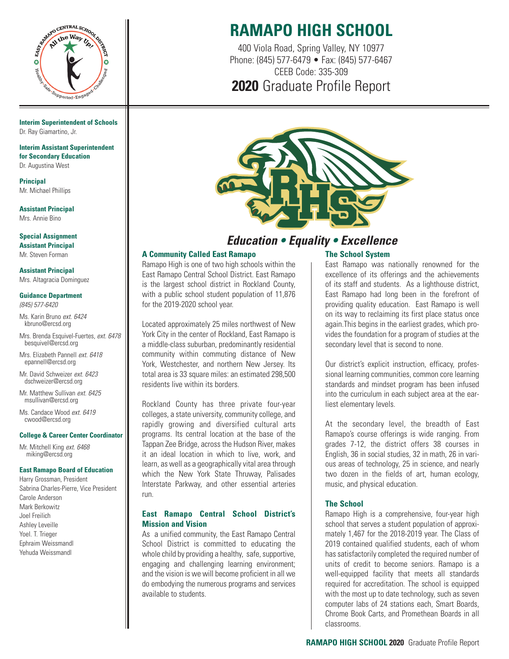

**Interim Superintendent of Schools** Dr. Ray Giamartino, Jr.

**Interim Assistant Superintendent for Secondary Education** Dr. Augustina West

**Principal** Mr. Michael Phillips

**Assistant Principal** Mrs. Annie Bino

**Special Assignment Assistant Principal** Mr. Steven Forman

**Assistant Principal** Mrs. Altagracia Dominguez

**Guidance Department** (845) 577-6420

Ms. Karin Bruno ext. 6424 kbruno@ercsd.org

Mrs. Brenda Esquivel-Fuertes, ext. 6478 besquivel@ercsd.org

Mrs. Elizabeth Pannell ext. 6418 epannell@ercsd.org

Mr. David Schweizer ext. 6423 dschweizer@ercsd.org

Mr. Matthew Sullivan ext. 6425 msullivan@ercsd.org

Ms. Candace Wood ext. 6419 cwood@ercsd.org

#### **College & Career Center Coordinator**

Mr. Mitchell King ext. 6468 miking@ercsd.org

#### **East Ramapo Board of Education**

Harry Grossman, President Sabrina Charles-Pierre, Vice President Carole Anderson Mark Berkowitz Joel Freilich Ashley Leveille Yoel. T. Trieger Ephraim Weissmandl Yehuda Weissmandl

# **RAMAPO HIGH SCHOOL**

400 Viola Road, Spring Valley, NY 10977 Phone: (845) 577-6479 • Fax: (845) 577-6467 CEEB Code: 335-309 **2020** Graduate Profile Report



### **Education • Equality • Excellence**

#### **A Community Called East Ramapo**

Ramapo High is one of two high schools within the East Ramapo Central School District. East Ramapo is the largest school district in Rockland County, with a public school student population of 11,876 for the 2019-2020 school year.

Located approximately 25 miles northwest of New York City in the center of Rockland, East Ramapo is a middle-class suburban, predominantly residential community within commuting distance of New York, Westchester, and northern New Jersey. Its total area is 33 square miles: an estimated 298,500 residents live within its borders.

Rockland County has three private four-year colleges, a state university, community college, and rapidly growing and diversified cultural arts programs. Its central location at the base of the Tappan Zee Bridge, across the Hudson River, makes it an ideal location in which to live, work, and learn, as well as a geographically vital area through which the New York State Thruway, Palisades Interstate Parkway, and other essential arteries run.

#### **East Ramapo Central School District's Mission and Vision**

As a unified community, the East Ramapo Central School District is committed to educating the whole child by providing a healthy, safe, supportive, engaging and challenging learning environment; and the vision is we will become proficient in all we do embodying the numerous programs and services available to students.

### **The School System**

East Ramapo was nationally renowned for the excellence of its offerings and the achievements of its staff and students. As a lighthouse district, East Ramapo had long been in the forefront of providing quality education. East Ramapo is well on its way to reclaiming its first place status once again.This begins in the earliest grades, which provides the foundation for a program of studies at the secondary level that is second to none.

Our district's explicit instruction, efficacy, professional learning communities, common core learning standards and mindset program has been infused into the curriculum in each subject area at the earliest elementary levels.

At the secondary level, the breadth of East Ramapo's course offerings is wide ranging. From grades 7-12, the district offers 38 courses in English, 36 in social studies, 32 in math, 26 in various areas of technology, 25 in science, and nearly two dozen in the fields of art, human ecology, music, and physical education.

### **The School**

Ramapo High is a comprehensive, four-year high school that serves a student population of approximately 1,467 for the 2018-2019 year. The Class of 2019 contained qualified students, each of whom has satisfactorily completed the required number of units of credit to become seniors. Ramapo is a well-equipped facility that meets all standards required for accreditation. The school is equipped with the most up to date technology, such as seven computer labs of 24 stations each, Smart Boards, Chrome Book Carts, and Promethean Boards in all classrooms.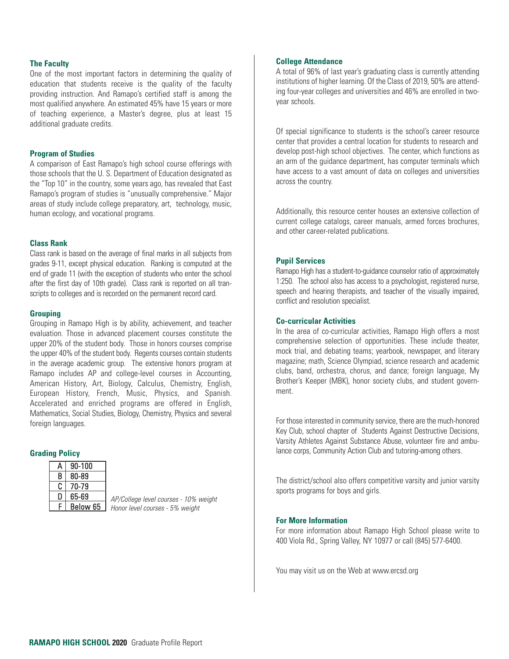#### **The Faculty**

One of the most important factors in determining the quality of education that students receive is the quality of the faculty providing instruction. And Ramapo's certified staff is among the most qualified anywhere. An estimated 45% have 15 years or more of teaching experience, a Master's degree, plus at least 15 additional graduate credits.

#### **Program of Studies**

A comparison of East Ramapo's high school course offerings with those schools that the U. S. Department of Education designated as the "Top 10" in the country, some years ago, has revealed that East Ramapo's program of studies is "unusually comprehensive." Major areas of study include college preparatory, art, technology, music, human ecology, and vocational programs.

#### **Class Rank**

Class rank is based on the average of final marks in all subjects from grades 9-11, except physical education. Ranking is computed at the end of grade 11 (with the exception of students who enter the school after the first day of 10th grade). Class rank is reported on all transcripts to colleges and is recorded on the permanent record card.

#### **Grouping**

Grouping in Ramapo High is by ability, achievement, and teacher evaluation. Those in advanced placement courses constitute the upper 20% of the student body. Those in honors courses comprise the upper 40% of the student body. Regents courses contain students in the average academic group. The extensive honors program at Ramapo includes AP and college-level courses in Accounting, American History, Art, Biology, Calculus, Chemistry, English, European History, French, Music, Physics, and Spanish. Accelerated and enriched programs are offered in English, Mathematics, Social Studies, Biology, Chemistry, Physics and several foreign languages.

### **Grading Policy**

| A | 90-100   |  |
|---|----------|--|
| В | 80-89    |  |
| C | 70-79    |  |
| D | 65-69    |  |
| c | Below 65 |  |

AP/College level courses - 10% weight Honor level courses - 5% weight

#### **College Attendance**

A total of 96% of last year's graduating class is currently attending institutions of higher learning. Of the Class of 2019, 50% are attending four-year colleges and universities and 46% are enrolled in twoyear schools.

Of special significance to students is the school's career resource center that provides a central location for students to research and develop post-high school objectives. The center, which functions as an arm of the guidance department, has computer terminals which have access to a vast amount of data on colleges and universities across the country.

Additionally, this resource center houses an extensive collection of current college catalogs, career manuals, armed forces brochures, and other career-related publications.

#### **Pupil Services**

Ramapo High has a student-to-guidance counselor ratio of approximately 1:250. The school also has access to a psychologist, registered nurse, speech and hearing therapists, and teacher of the visually impaired, conflict and resolution specialist.

#### **Co-curricular Activities**

In the area of co-curricular activities, Ramapo High offers a most comprehensive selection of opportunities. These include theater, mock trial, and debating teams; yearbook, newspaper, and literary magazine; math, Science Olympiad, science research and academic clubs, band, orchestra, chorus, and dance; foreign language, My Brother's Keeper (MBK), honor society clubs, and student government.

For those interested in community service, there are the much-honored Key Club, school chapter of Students Against Destructive Decisions, Varsity Athletes Against Substance Abuse, volunteer fire and ambulance corps, Community Action Club and tutoring-among others.

The district/school also offers competitive varsity and junior varsity sports programs for boys and girls.

#### **For More Information**

For more information about Ramapo High School please write to 400 Viola Rd., Spring Valley, NY 10977 or call (845) 577-6400.

You may visit us on the Web at www.ercsd.org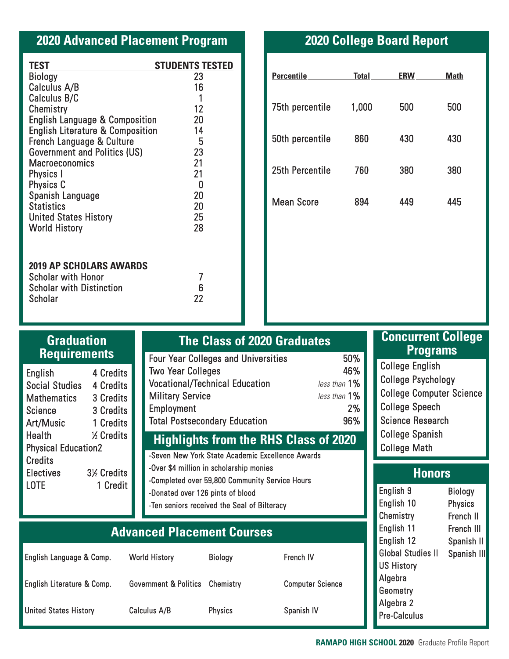| <b>2020 Advanced Placement Program</b> |  |  |
|----------------------------------------|--|--|
|----------------------------------------|--|--|

| <b>TEST</b>                                 | <b>STUDENTS TESTED</b> |
|---------------------------------------------|------------------------|
| Biology                                     | 23                     |
| <b>Calculus A/B</b>                         | 16                     |
| <b>Calculus B/C</b>                         | 1                      |
| Chemistry                                   | 12                     |
| <b>English Language &amp; Composition</b>   | 20                     |
| <b>English Literature &amp; Composition</b> | 14                     |
| French Language & Culture                   | 5                      |
| <b>Government and Politics (US)</b>         | 23                     |
| <b>Macroeconomics</b>                       | 21                     |
| Physics I                                   | 21                     |
| Physics C                                   | 0                      |
| Spanish Language                            | 20                     |
| <b>Statistics</b>                           | 20                     |
| <b>United States History</b>                | 25                     |
| <b>World History</b>                        | 28                     |
|                                             |                        |
| <b>2019 AP SCHOLARS AWARDS</b>              |                        |
| Scholar with Honor                          | 7                      |
| <b>Scholar with Distinction</b>             | 6                      |
| Scholar                                     | 22                     |

English Literature & Comp.

United States History

# **2020 College Board Report**

| <b>Percentile</b> | <b>Total</b> | <b>ERW</b> | Math |
|-------------------|--------------|------------|------|
| 75th percentile   | 1,000        | 500        | 500  |
| 50th percentile   | 860          | 430        | 430  |
| 25th Percentile   | 760          | 380        | 380  |
| <b>Mean Score</b> | 894          | 449        | 445  |

| <b>Graduation</b><br><b>Requirements</b>                                                                                                       |                                    |                                         | <b>The Class of 2020 Graduates</b>               |              |  |
|------------------------------------------------------------------------------------------------------------------------------------------------|------------------------------------|-----------------------------------------|--------------------------------------------------|--------------|--|
|                                                                                                                                                |                                    |                                         | <b>Four Year Colleges and Universities</b>       | 50%          |  |
| English                                                                                                                                        | 4 Credits                          |                                         | <b>Two Year Colleges</b>                         | 46%          |  |
|                                                                                                                                                | <b>Social Studies</b><br>4 Credits |                                         | <b>Vocational/Technical Education</b>            | less than 1% |  |
| Mathematics                                                                                                                                    | 3 Credits                          |                                         | <b>Military Service</b>                          | less than 1% |  |
| <b>Science</b>                                                                                                                                 | 3 Credits                          | Employment                              |                                                  | 2%           |  |
| Art/Music                                                                                                                                      | 1 Credits                          |                                         | <b>Total Postsecondary Education</b>             | 96%          |  |
| Health<br>1/ <sub>2</sub> Credits<br><b>Physical Education2</b><br><b>Credits</b><br><b>Electives</b><br>3½ Credits<br>1 Credit<br><b>LOTE</b> |                                    |                                         | <b>Highlights from the RHS Class of 2020</b>     |              |  |
|                                                                                                                                                |                                    |                                         | -Seven New York State Academic Excellence Awards |              |  |
|                                                                                                                                                |                                    | -Over \$4 million in scholarship monies |                                                  |              |  |
|                                                                                                                                                |                                    |                                         | -Completed over 59,800 Community Service Hours   |              |  |
|                                                                                                                                                |                                    |                                         | -Donated over 126 pints of blood                 |              |  |
|                                                                                                                                                |                                    |                                         | -Ten seniors received the Seal of Bilteracy      |              |  |
| <b>Advanced Placement Courses</b>                                                                                                              |                                    |                                         |                                                  |              |  |
|                                                                                                                                                |                                    |                                         |                                                  |              |  |
| English Language & Comp.                                                                                                                       |                                    | <b>World History</b>                    | <b>Biology</b>                                   | French IV    |  |

**Chemistry** 

Computer Science

Spanish IV

Physics

Government & Politics

Calculus A/B

## **Concurrent College Programs**

College English College Psychology College Computer Science College Speech Science Research College Spanish College Math

# **Honors**

| English 9                | Biology        |
|--------------------------|----------------|
| English 10               | <b>Physics</b> |
| Chemistry                | French II      |
| English 11               | French III     |
| English 12               | Spanish II     |
| <b>Global Studies II</b> | Spanish III    |
| <b>US History</b>        |                |
| Algebra                  |                |
| Geometry                 |                |
| Algebra 2                |                |
| <b>Pre-Calculus</b>      |                |
|                          |                |